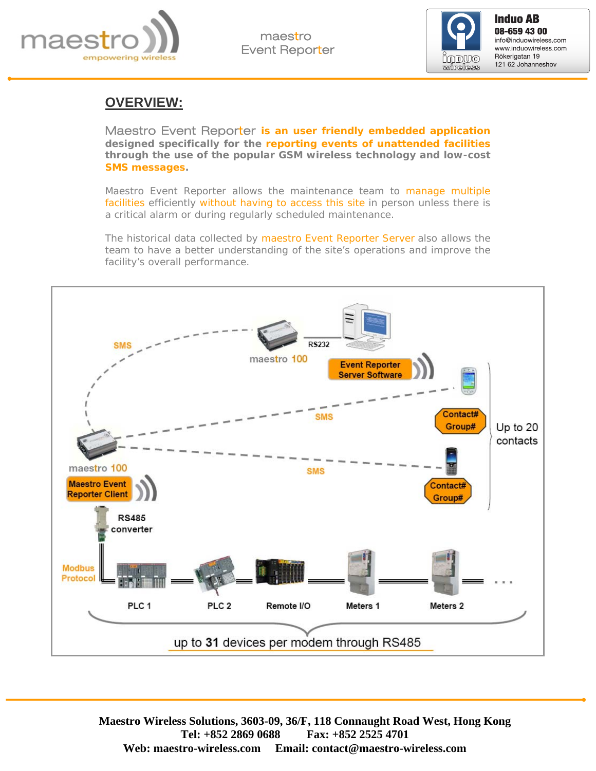

maestro Event Reporter



**Induo AB**<br>08-659 43 00 info@induowireless.com www.induowireless.com Rökerigatan 19 121 62 Johanneshov

### **OVERVIEW:**

Maestro Event Reporter **is an user friendly embedded application designed specifically for the reporting events of unattended facilities through the use of the popular GSM wireless technology and low-cost SMS messages.** 

Maestro Event Reporter allows the maintenance team to manage multiple facilities efficiently without having to access this site in person unless there is a critical alarm or during regularly scheduled maintenance.

The historical data collected by maestro Event Reporter Server also allows the team to have a better understanding of the site's operations and improve the facility's overall performance.

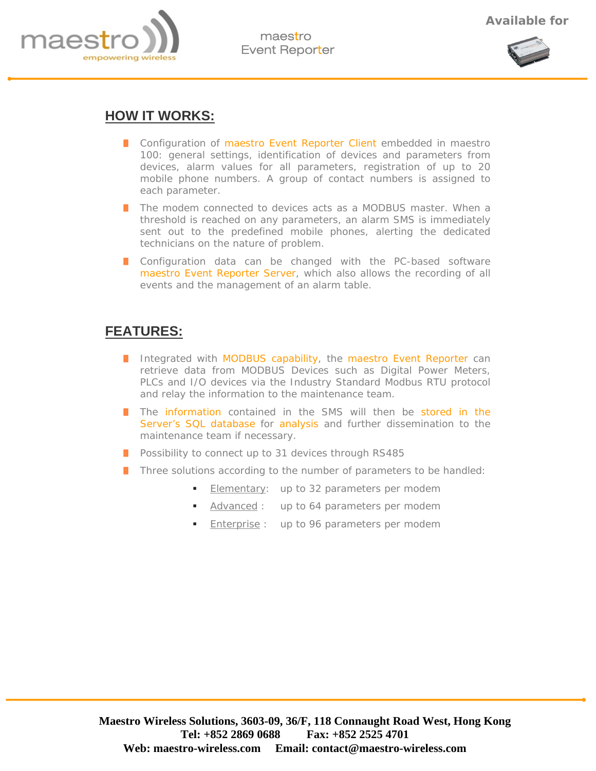



#### **HOW IT WORKS:**

- **Configuration of maestro Event Reporter Client embedded in maestro** 100: general settings, identification of devices and parameters from devices, alarm values for all parameters, registration of up to 20 mobile phone numbers. A group of contact numbers is assigned to each parameter.
- **T** The modem connected to devices acts as a MODBUS master. When a threshold is reached on any parameters, an alarm SMS is immediately sent out to the predefined mobile phones, alerting the dedicated technicians on the nature of problem.
- **I** Configuration data can be changed with the PC-based software maestro Event Reporter Server, which also allows the recording of all events and the management of an alarm table.

# **FEATURES:**

- I Integrated with MODBUS capability, the maestro Event Reporter can retrieve data from MODBUS Devices such as Digital Power Meters, PLCs and I/O devices via the Industry Standard Modbus RTU protocol and relay the information to the maintenance team.
- **T** The information contained in the SMS will then be stored in the Server's SQL database for analysis and further dissemination to the maintenance team if necessary.
- **Possibility to connect up to 31 devices through RS485**
- Three solutions according to the number of parameters to be handled:
	- Elementary: up to 32 parameters per modem
	- Advanced : up to 64 parameters per modem
	- Enterprise : up to 96 parameters per modem